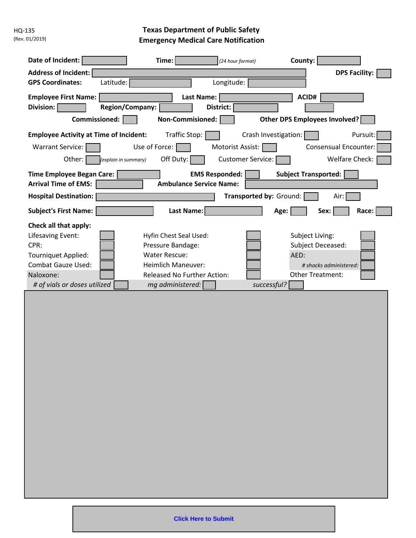HQ-135 (Rev. 01/2019)

## **Texas Department of Public Safety Emergency Medical Care Notification**

| Date of Incident:<br>Time:<br>County:<br>(24 hour format)<br><b>Address of Incident:</b><br><b>DPS Facility:</b><br><b>GPS Coordinates:</b><br>Latitude:<br>Longitude:<br>ACID#<br><b>Employee First Name:</b><br><b>Last Name:</b><br><b>Region/Company:</b><br>Division:<br>District:<br>Non-Commisioned:<br>Other DPS Employees Involved?<br>Commissioned:                                                                                                                                                                          |
|----------------------------------------------------------------------------------------------------------------------------------------------------------------------------------------------------------------------------------------------------------------------------------------------------------------------------------------------------------------------------------------------------------------------------------------------------------------------------------------------------------------------------------------|
| <b>Employee Activity at Time of Incident:</b><br>Traffic Stop:<br>Crash Investigation:<br>Pursuit:<br>Use of Force: $\Box$<br>Motorist Assist:<br><b>Consensual Encounter:</b><br><b>Warrant Service:</b><br>Off Duty:<br><b>Customer Service:</b><br>Welfare Check:<br>Other:<br>(explain in summary)<br><b>Time Employee Began Care:</b><br><b>EMS Responded:</b><br><b>Subject Transported:</b><br><b>Arrival Time of EMS:</b><br><b>Ambulance Service Name:</b><br>Transported by: Ground:<br><b>Hospital Destination:</b><br>Air: |
| <b>Last Name:</b><br>Race:<br><b>Subject's First Name:</b><br>Age:<br>Sex:<br>Check all that apply:<br>Lifesaving Event:<br>Hyfin Chest Seal Used:<br>Subject Living:<br>CPR:<br>Pressure Bandage:<br>Subject Deceased:<br>AED:<br><b>Tourniquet Applied:</b><br><b>Water Rescue:</b><br><b>Combat Gauze Used:</b><br><b>Heimlich Maneuver:</b><br># shocks administered:<br><b>Released No Further Action:</b><br>Other Treatment:<br>Naloxone:<br># of vials or doses utilized<br>mg administered:<br>successful?                    |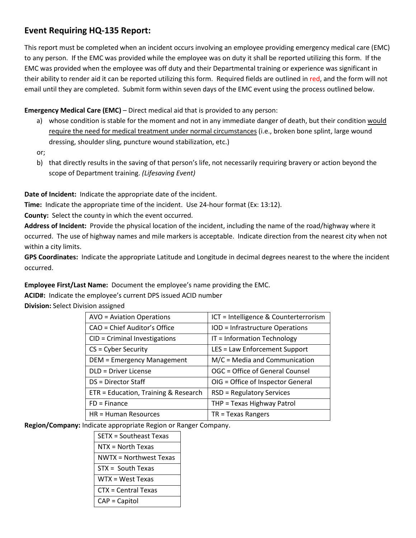## **Event Requiring HQ-135 Report:**

This report must be completed when an incident occurs involving an employee providing emergency medical care (EMC) to any person. If the EMC was provided while the employee was on duty it shall be reported utilizing this form. If the EMC was provided when the employee was off duty and their Departmental training or experience was significant in their ability to render aid it can be reported utilizing this form. Required fields are outlined in red, and the form will not email until they are completed. Submit form within seven days of the EMC event using the process outlined below.

**Emergency Medical Care (EMC)** – Direct medical aid that is provided to any person:

a) whose condition is stable for the moment and not in any immediate danger of death, but their condition would require the need for medical treatment under normal circumstances (i.e., broken bone splint, large wound dressing, shoulder sling, puncture wound stabilization, etc.)

or;

b) that directly results in the saving of that person's life, not necessarily requiring bravery or action beyond the scope of Department training. *(Lifesaving Event)*

**Date of Incident:** Indicate the appropriate date of the incident.

**Time:** Indicate the appropriate time of the incident. Use 24-hour format (Ex: 13:12).

**County:** Select the county in which the event occurred.

**Address of Incident:** Provide the physical location of the incident, including the name of the road/highway where it occurred. The use of highway names and mile markers is acceptable. Indicate direction from the nearest city when not within a city limits.

**GPS Coordinates:** Indicate the appropriate Latitude and Longitude in decimal degrees nearest to the where the incident occurred.

**Employee First/Last Name:** Document the employee's name providing the EMC.

**ACID#:** Indicate the employee's current DPS issued ACID number

**Division:** Select Division assigned

| <b>AVO</b> = Aviation Operations     | ICT = Intelligence & Counterterrorism |
|--------------------------------------|---------------------------------------|
| CAO = Chief Auditor's Office         | IOD = Infrastructure Operations       |
| CID = Criminal Investigations        | IT = Information Technology           |
| $CS = Cyber Security$                | LES = Law Enforcement Support         |
| DEM = Emergency Management           | $M/C = Media$ and Communication       |
| <b>DLD = Driver License</b>          | OGC = Office of General Counsel       |
| DS = Director Staff                  | OIG = Office of Inspector General     |
| ETR = Education, Training & Research | <b>RSD = Regulatory Services</b>      |
| $FD = Finance$                       | THP = Texas Highway Patrol            |
| $HR = Human Resources$               | $TR = Texas$ Rangers                  |

**Region/Company:** Indicate appropriate Region or Ranger Company.

| SETX = Southeast Texas |  |
|------------------------|--|
| NTX = North Texas      |  |
| NWTX = Northwest Texas |  |
| $STX = South Texas$    |  |
| $WTX = West Texas$     |  |
| CTX = Central Texas    |  |
| $CAP = Capital$        |  |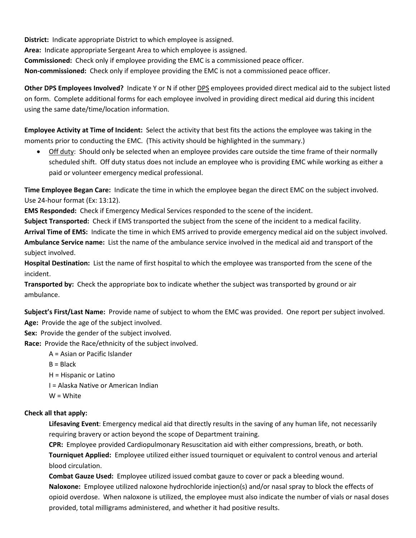**District:** Indicate appropriate District to which employee is assigned. **Area:** Indicate appropriate Sergeant Area to which employee is assigned. **Commissioned:** Check only if employee providing the EMC is a commissioned peace officer. **Non-commissioned:** Check only if employee providing the EMC is not a commissioned peace officer.

**Other DPS Employees Involved?** Indicate Y or N if other DPS employees provided direct medical aid to the subject listed on form. Complete additional forms for each employee involved in providing direct medical aid during this incident using the same date/time/location information.

**Employee Activity at Time of Incident:** Select the activity that best fits the actions the employee was taking in the moments prior to conducting the EMC. (This activity should be highlighted in the summary.)

• Off duty: Should only be selected when an employee provides care outside the time frame of their normally scheduled shift. Off duty status does not include an employee who is providing EMC while working as either a paid or volunteer emergency medical professional.

**Time Employee Began Care:** Indicate the time in which the employee began the direct EMC on the subject involved. Use 24-hour format (Ex: 13:12).

**EMS Responded:** Check if Emergency Medical Services responded to the scene of the incident.

**Subject Transported:** Check if EMS transported the subject from the scene of the incident to a medical facility.

**Arrival Time of EMS:** Indicate the time in which EMS arrived to provide emergency medical aid on the subject involved. **Ambulance Service name:** List the name of the ambulance service involved in the medical aid and transport of the subject involved.

**Hospital Destination:** List the name of first hospital to which the employee was transported from the scene of the incident.

**Transported by:** Check the appropriate box to indicate whether the subject was transported by ground or air ambulance.

**Subject's First/Last Name:** Provide name of subject to whom the EMC was provided. One report per subject involved. **Age:** Provide the age of the subject involved.

**Sex:** Provide the gender of the subject involved.

**Race:** Provide the Race/ethnicity of the subject involved.

A = Asian or Pacific Islander

 $B = Black$ 

H = Hispanic or Latino

I = Alaska Native or American Indian

W = White

## **Check all that apply:**

**Lifesaving Event**: Emergency medical aid that directly results in the saving of any human life, not necessarily requiring bravery or action beyond the scope of Department training.

**CPR:** Employee provided Cardiopulmonary Resuscitation aid with either compressions, breath, or both.

**Tourniquet Applied:** Employee utilized either issued tourniquet or equivalent to control venous and arterial blood circulation.

**Combat Gauze Used:** Employee utilized issued combat gauze to cover or pack a bleeding wound. **Naloxone:** Employee utilized naloxone hydrochloride injection(s) and/or nasal spray to block the effects of opioid overdose. When naloxone is utilized, the employee must also indicate the number of vials or nasal doses provided, total milligrams administered, and whether it had positive results.